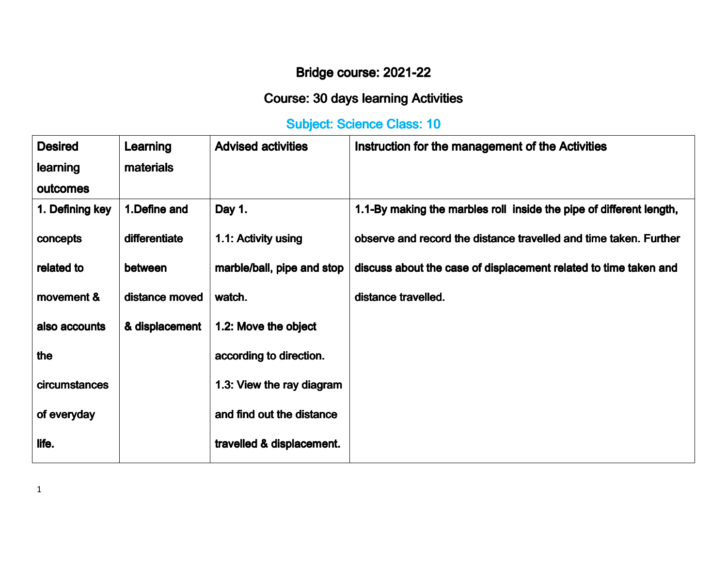## Bridge course: 2021-22

## Course: 30 days learning Activities

## Subject: Science Class: 10

| <b>Desired</b>  | Learning       | <b>Advised activities</b>  | Instruction for the management of the Activities                    |
|-----------------|----------------|----------------------------|---------------------------------------------------------------------|
| learning        | materials      |                            |                                                                     |
| outcomes        |                |                            |                                                                     |
| 1. Defining key | 1. Define and  | Day 1.                     | 1.1-By making the marbles roll inside the pipe of different length, |
| concepts        | differentiate  | 1.1: Activity using        | observe and record the distance travelled and time taken. Further   |
| related to      | between        | marble/ball, pipe and stop | discuss about the case of displacement related to time taken and    |
| movement &      | distance moved | watch.                     | distance travelled.                                                 |
| also accounts   | & displacement | 1.2: Move the object       |                                                                     |
| the             |                | according to direction.    |                                                                     |
| circumstances   |                | 1.3: View the ray diagram  |                                                                     |
| of everyday     |                | and find out the distance  |                                                                     |
| life.           |                | travelled & displacement.  |                                                                     |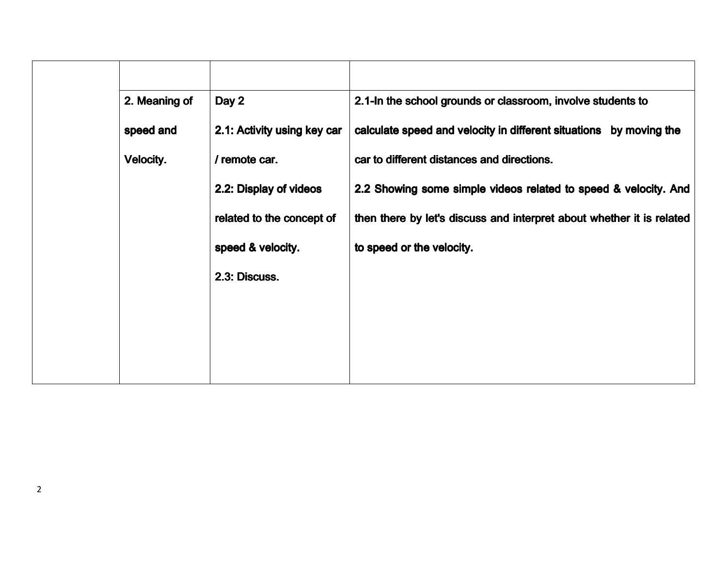| 2. Meaning of | Day 2                       | 2.1-In the school grounds or classroom, involve students to           |
|---------------|-----------------------------|-----------------------------------------------------------------------|
| speed and     | 2.1: Activity using key car | calculate speed and velocity in different situations by moving the    |
| Velocity.     | / remote car.               | car to different distances and directions.                            |
|               | 2.2: Display of videos      | 2.2 Showing some simple videos related to speed & velocity. And       |
|               | related to the concept of   | then there by let's discuss and interpret about whether it is related |
|               | speed & velocity.           | to speed or the velocity.                                             |
|               | 2.3: Discuss.               |                                                                       |
|               |                             |                                                                       |
|               |                             |                                                                       |
|               |                             |                                                                       |
|               |                             |                                                                       |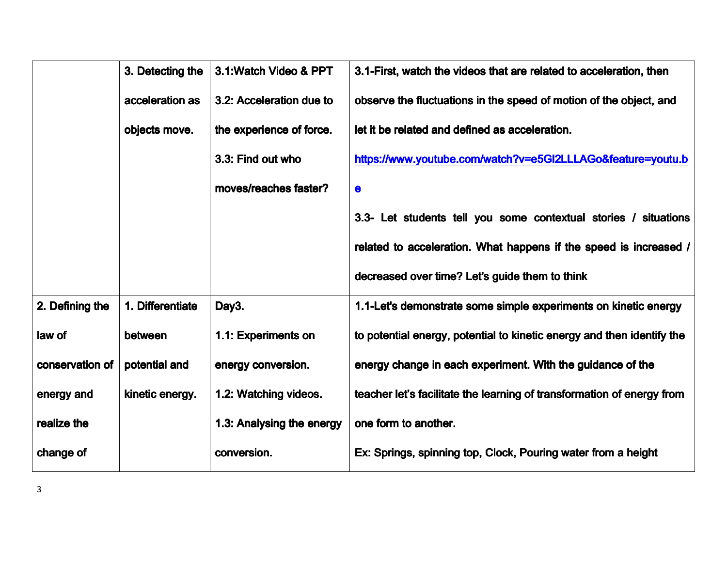|                 | 3. Detecting the | 3.1: Watch Video & PPT    | 3.1-First, watch the videos that are related to acceleration, then     |
|-----------------|------------------|---------------------------|------------------------------------------------------------------------|
|                 | acceleration as  | 3.2: Acceleration due to  | observe the fluctuations in the speed of motion of the object, and     |
|                 | objects move.    | the experience of force.  | let it be related and defined as acceleration.                         |
|                 |                  | 3.3: Find out who         | https://www.youtube.com/watch?v=e5GI2LLLAGo&feature=youtu.b            |
|                 |                  | moves/reaches faster?     | $\overline{\mathbf{e}}$                                                |
|                 |                  |                           | 3.3- Let students tell you some contextual stories / situations        |
|                 |                  |                           | related to acceleration. What happens if the speed is increased /      |
|                 |                  |                           | decreased over time? Let's guide them to think                         |
| 2. Defining the | 1. Differentiate | Day3.                     | 1.1-Let's demonstrate some simple experiments on kinetic energy        |
| law of          | between          | 1.1: Experiments on       | to potential energy, potential to kinetic energy and then identify the |
| conservation of | potential and    | energy conversion.        | energy change in each experiment. With the guidance of the             |
| energy and      | kinetic energy.  | 1.2: Watching videos.     | teacher let's facilitate the learning of transformation of energy from |
| realize the     |                  | 1.3: Analysing the energy | one form to another.                                                   |
| change of       |                  | conversion.               | Ex: Springs, spinning top, Clock, Pouring water from a height          |
|                 |                  |                           |                                                                        |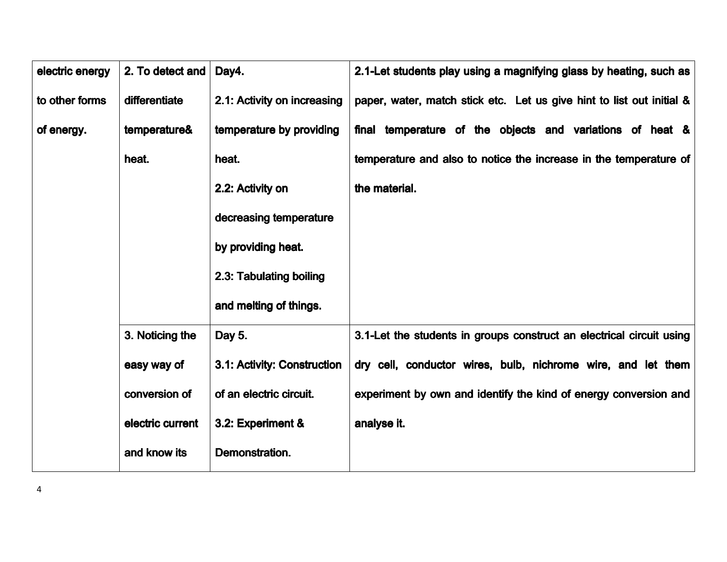| electric energy | 2. To detect and | Day4.                       | 2.1-Let students play using a magnifying glass by heating, such as    |
|-----------------|------------------|-----------------------------|-----------------------------------------------------------------------|
| to other forms  | differentiate    | 2.1: Activity on increasing | paper, water, match stick etc. Let us give hint to list out initial & |
| of energy.      | temperature&     | temperature by providing    | final temperature of the objects and variations of heat &             |
|                 | heat.            | heat.                       | temperature and also to notice the increase in the temperature of     |
|                 |                  | 2.2: Activity on            | the material.                                                         |
|                 |                  | decreasing temperature      |                                                                       |
|                 |                  | by providing heat.          |                                                                       |
|                 |                  | 2.3: Tabulating boiling     |                                                                       |
|                 |                  | and melting of things.      |                                                                       |
|                 | 3. Noticing the  | Day 5.                      | 3.1-Let the students in groups construct an electrical circuit using  |
|                 | easy way of      | 3.1: Activity: Construction | dry cell, conductor wires, bulb, nichrome wire, and let them          |
|                 | conversion of    | of an electric circuit.     | experiment by own and identify the kind of energy conversion and      |
|                 | electric current | 3.2: Experiment &           | analyse it.                                                           |
|                 | and know its     | Demonstration.              |                                                                       |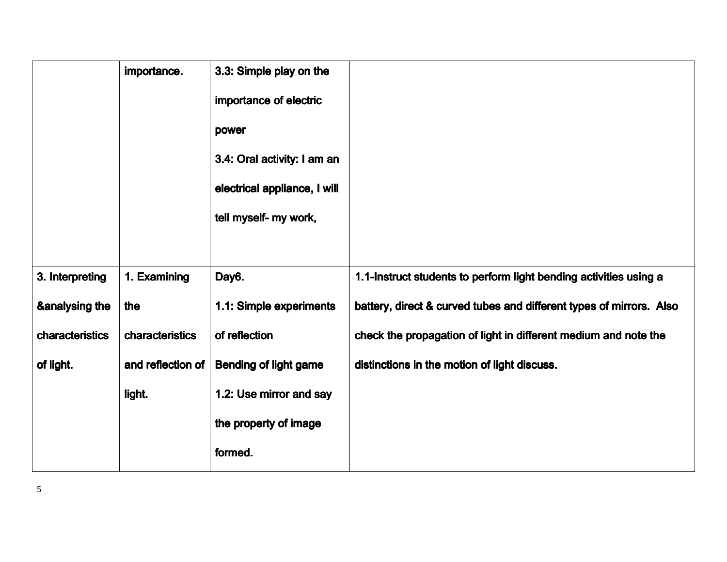|                           | importance.       | 3.3: Simple play on the      |                                                                     |
|---------------------------|-------------------|------------------------------|---------------------------------------------------------------------|
|                           |                   | importance of electric       |                                                                     |
|                           |                   | power                        |                                                                     |
|                           |                   | 3.4: Oral activity: I am an  |                                                                     |
|                           |                   | electrical appliance, I will |                                                                     |
|                           |                   | tell myself- my work,        |                                                                     |
|                           |                   |                              |                                                                     |
| 3. Interpreting           | 1. Examining      | Day6.                        | 1.1-Instruct students to perform light bending activities using a   |
| <b>&amp;analysing the</b> | the               | 1.1: Simple experiments      | battery, direct & curved tubes and different types of mirrors. Also |
| characteristics           | characteristics   | of reflection                | check the propagation of light in different medium and note the     |
| of light.                 | and reflection of | <b>Bending of light game</b> | distinctions in the motion of light discuss.                        |
|                           | light.            | 1.2: Use mirror and say      |                                                                     |
|                           |                   | the property of image        |                                                                     |
|                           |                   | formed.                      |                                                                     |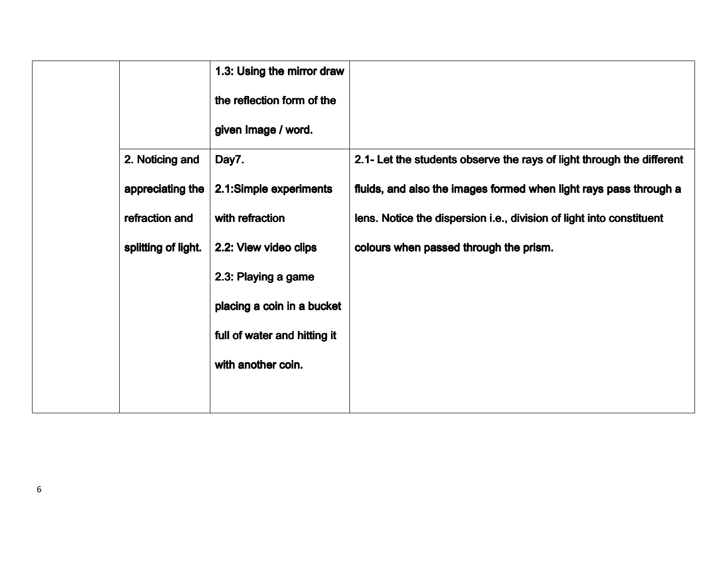| 2.1- Let the students observe the rays of light through the different |
|-----------------------------------------------------------------------|
| fluids, and also the images formed when light rays pass through a     |
| lens. Notice the dispersion i.e., division of light into constituent  |
|                                                                       |
|                                                                       |
|                                                                       |
|                                                                       |
|                                                                       |
|                                                                       |
|                                                                       |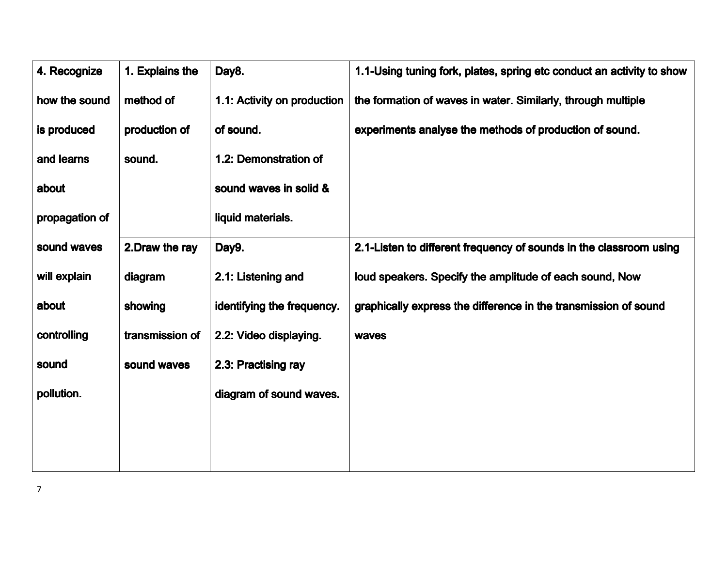| 1. Explains the | Day8.                       | 1.1-Using tuning fork, plates, spring etc conduct an activity to show |
|-----------------|-----------------------------|-----------------------------------------------------------------------|
| method of       | 1.1: Activity on production | the formation of waves in water. Similarly, through multiple          |
| production of   | of sound.                   | experiments analyse the methods of production of sound.               |
| sound.          | 1.2: Demonstration of       |                                                                       |
|                 | sound waves in solid &      |                                                                       |
|                 | liquid materials.           |                                                                       |
| 2. Draw the ray | Day9.                       | 2.1-Listen to different frequency of sounds in the classroom using    |
| diagram         | 2.1: Listening and          | loud speakers. Specify the amplitude of each sound, Now               |
| showing         | identifying the frequency.  | graphically express the difference in the transmission of sound       |
| transmission of | 2.2: Video displaying.      | waves                                                                 |
| sound waves     | 2.3: Practising ray         |                                                                       |
|                 | diagram of sound waves.     |                                                                       |
|                 |                             |                                                                       |
|                 |                             |                                                                       |
|                 |                             |                                                                       |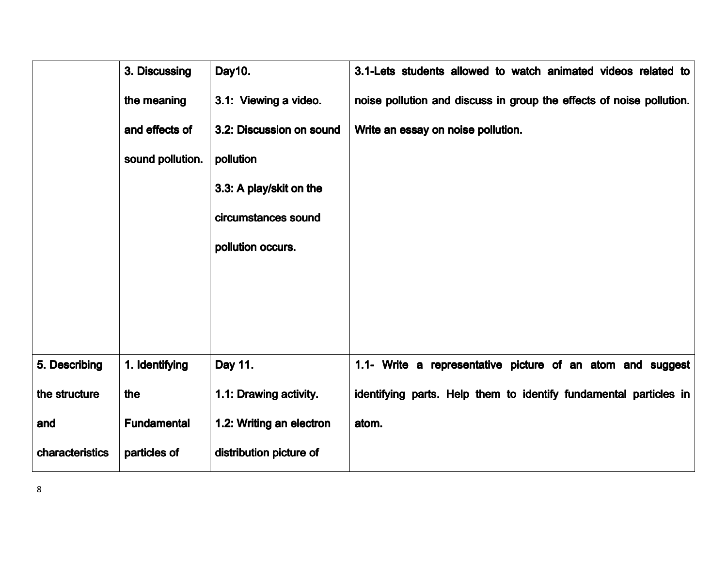|                 | 3. Discussing      | Day10.                   | 3.1-Lets students allowed to watch animated videos related to        |
|-----------------|--------------------|--------------------------|----------------------------------------------------------------------|
|                 | the meaning        | 3.1: Viewing a video.    | noise pollution and discuss in group the effects of noise pollution. |
|                 | and effects of     | 3.2: Discussion on sound | Write an essay on noise pollution.                                   |
|                 | sound pollution.   | pollution                |                                                                      |
|                 |                    | 3.3: A play/skit on the  |                                                                      |
|                 |                    | circumstances sound      |                                                                      |
|                 |                    | pollution occurs.        |                                                                      |
|                 |                    |                          |                                                                      |
|                 |                    |                          |                                                                      |
|                 |                    |                          |                                                                      |
| 5. Describing   | 1. Identifying     | Day 11.                  | 1.1- Write a representative picture of an atom and suggest           |
| the structure   | the                | 1.1: Drawing activity.   | identifying parts. Help them to identify fundamental particles in    |
| and             | <b>Fundamental</b> | 1.2: Writing an electron | atom.                                                                |
| characteristics | particles of       | distribution picture of  |                                                                      |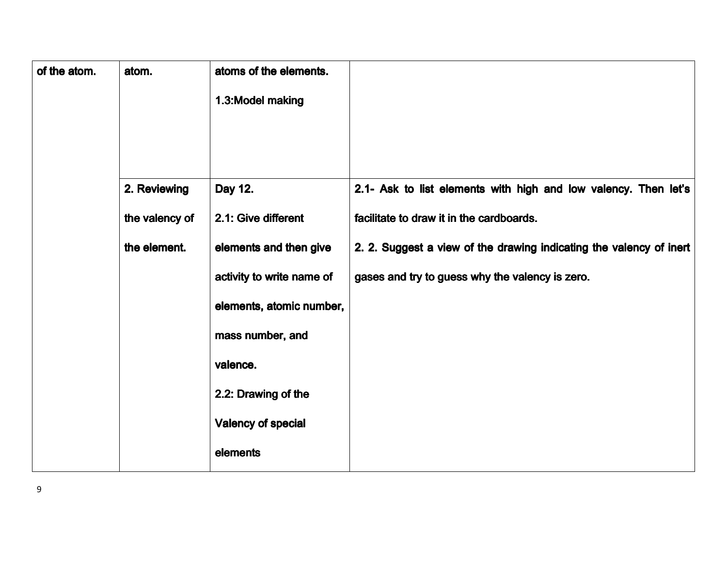| of the atom. | atom.          | atoms of the elements.    |                                                                     |
|--------------|----------------|---------------------------|---------------------------------------------------------------------|
|              |                | 1.3: Model making         |                                                                     |
|              |                |                           |                                                                     |
|              |                |                           |                                                                     |
|              | 2. Reviewing   | Day 12.                   | 2.1- Ask to list elements with high and low valency. Then let's     |
|              | the valency of | 2.1: Give different       | facilitate to draw it in the cardboards.                            |
|              | the element.   | elements and then give    | 2. 2. Suggest a view of the drawing indicating the valency of inert |
|              |                | activity to write name of | gases and try to guess why the valency is zero.                     |
|              |                | elements, atomic number,  |                                                                     |
|              |                | mass number, and          |                                                                     |
|              |                | valence.                  |                                                                     |
|              |                | 2.2: Drawing of the       |                                                                     |
|              |                | <b>Valency of special</b> |                                                                     |
|              |                | elements                  |                                                                     |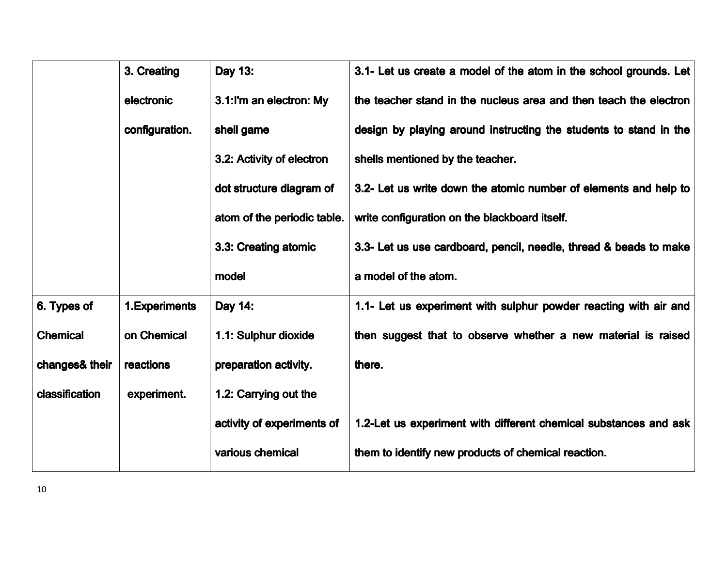|                 | 3. Creating    | Day 13:                     | 3.1- Let us create a model of the atom in the school grounds. Let |
|-----------------|----------------|-----------------------------|-------------------------------------------------------------------|
|                 | electronic     | 3.1:I'm an electron: My     | the teacher stand in the nucleus area and then teach the electron |
|                 | configuration. | shell game                  | design by playing around instructing the students to stand in the |
|                 |                | 3.2: Activity of electron   | shells mentioned by the teacher.                                  |
|                 |                | dot structure diagram of    | 3.2- Let us write down the atomic number of elements and help to  |
|                 |                | atom of the periodic table. | write configuration on the blackboard itself.                     |
|                 |                | 3.3: Creating atomic        | 3.3- Let us use cardboard, pencil, needle, thread & beads to make |
|                 |                | model                       | a model of the atom.                                              |
| 6. Types of     | 1. Experiments | Day 14:                     | 1.1- Let us experiment with sulphur powder reacting with air and  |
| <b>Chemical</b> | on Chemical    | 1.1: Sulphur dioxide        | then suggest that to observe whether a new material is raised     |
| changes& their  | reactions      | preparation activity.       | there.                                                            |
| classification  | experiment.    | 1.2: Carrying out the       |                                                                   |
|                 |                | activity of experiments of  | 1.2-Let us experiment with different chemical substances and ask  |
|                 |                | various chemical            | them to identify new products of chemical reaction.               |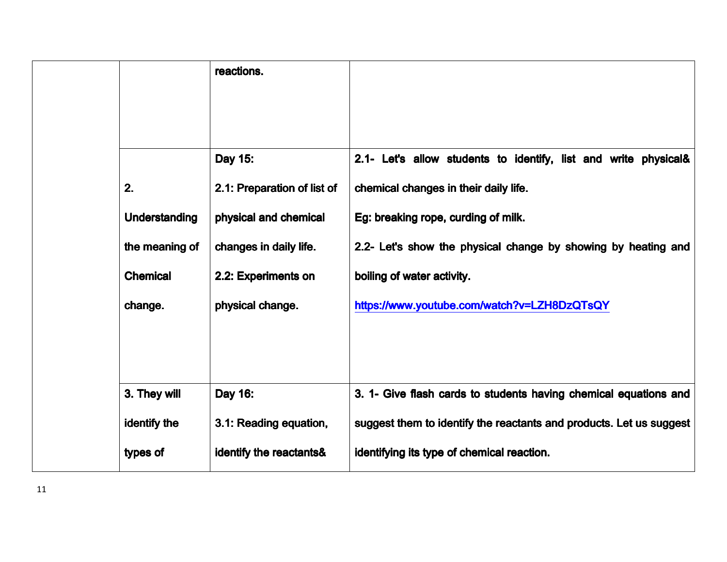|                 | reactions.                  |                                                                     |
|-----------------|-----------------------------|---------------------------------------------------------------------|
|                 |                             |                                                                     |
|                 | Day 15:                     | 2.1- Let's allow students to identify, list and write physical&     |
| 2.              | 2.1: Preparation of list of | chemical changes in their daily life.                               |
| Understanding   | physical and chemical       | Eg: breaking rope, curding of milk.                                 |
| the meaning of  | changes in daily life.      | 2.2- Let's show the physical change by showing by heating and       |
| <b>Chemical</b> | 2.2: Experiments on         | boiling of water activity.                                          |
| change.         | physical change.            | https://www.youtube.com/watch?v=LZH8DzQTsQY                         |
|                 |                             |                                                                     |
|                 |                             |                                                                     |
| 3. They will    | Day 16:                     | 3. 1- Give flash cards to students having chemical equations and    |
| identify the    | 3.1: Reading equation,      | suggest them to identify the reactants and products. Let us suggest |
| types of        | identify the reactants&     | identifying its type of chemical reaction.                          |
|                 |                             |                                                                     |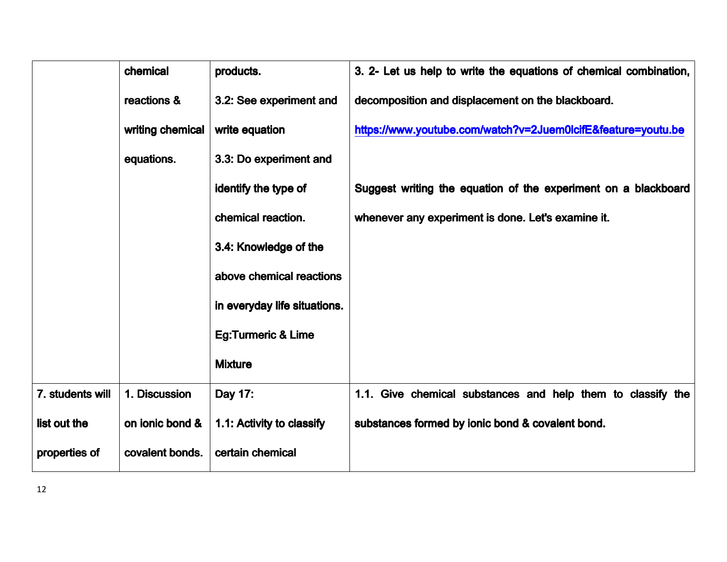|                  | chemical         | products.                     | 3. 2- Let us help to write the equations of chemical combination, |
|------------------|------------------|-------------------------------|-------------------------------------------------------------------|
|                  | reactions &      | 3.2: See experiment and       | decomposition and displacement on the blackboard.                 |
|                  | writing chemical | write equation                | https://www.youtube.com/watch?v=2Juem0lcifE&feature=youtu.be      |
|                  | equations.       | 3.3: Do experiment and        |                                                                   |
|                  |                  | identify the type of          | Suggest writing the equation of the experiment on a blackboard    |
|                  |                  | chemical reaction.            | whenever any experiment is done. Let's examine it.                |
|                  |                  | 3.4: Knowledge of the         |                                                                   |
|                  |                  | above chemical reactions      |                                                                   |
|                  |                  | in everyday life situations.  |                                                                   |
|                  |                  | <b>Eg:Turmeric &amp; Lime</b> |                                                                   |
|                  |                  | <b>Mixture</b>                |                                                                   |
| 7. students will | 1. Discussion    | Day 17:                       | 1.1. Give chemical substances and help them to classify the       |
| list out the     | on ionic bond &  | 1.1: Activity to classify     | substances formed by ionic bond & covalent bond.                  |
| properties of    | covalent bonds.  | certain chemical              |                                                                   |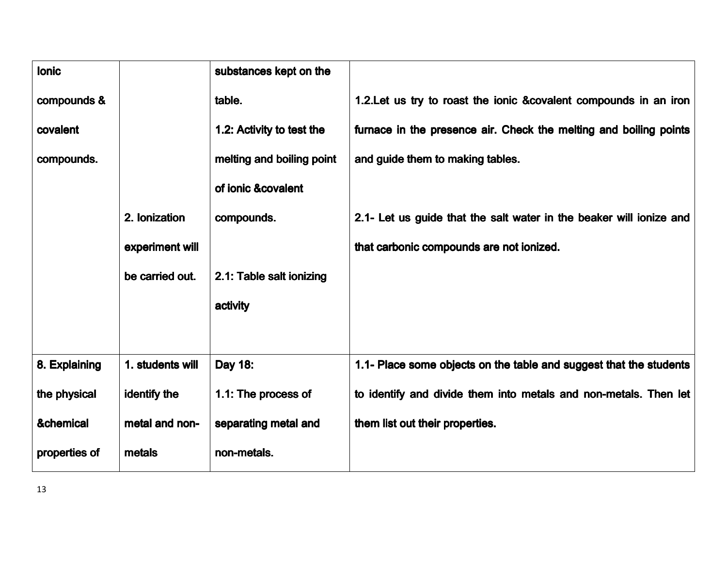| <b>lonic</b>  |                  | substances kept on the    |                                                                     |
|---------------|------------------|---------------------------|---------------------------------------------------------------------|
| compounds &   |                  | table.                    | 1.2. Let us try to roast the ionic & covalent compounds in an iron  |
| covalent      |                  | 1.2: Activity to test the | furnace in the presence air. Check the melting and boiling points   |
| compounds.    |                  | melting and boiling point | and guide them to making tables.                                    |
|               |                  | of ionic &covalent        |                                                                     |
|               | 2. Ionization    | compounds.                | 2.1- Let us guide that the salt water in the beaker will ionize and |
|               | experiment will  |                           | that carbonic compounds are not ionized.                            |
|               | be carried out.  | 2.1: Table salt ionizing  |                                                                     |
|               |                  | activity                  |                                                                     |
|               |                  |                           |                                                                     |
| 8. Explaining | 1. students will | Day 18:                   | 1.1- Place some objects on the table and suggest that the students  |
| the physical  | identify the     | 1.1: The process of       | to identify and divide them into metals and non-metals. Then let    |
| &chemical     | metal and non-   | separating metal and      | them list out their properties.                                     |
| properties of | metals           | non-metals.               |                                                                     |
|               |                  |                           |                                                                     |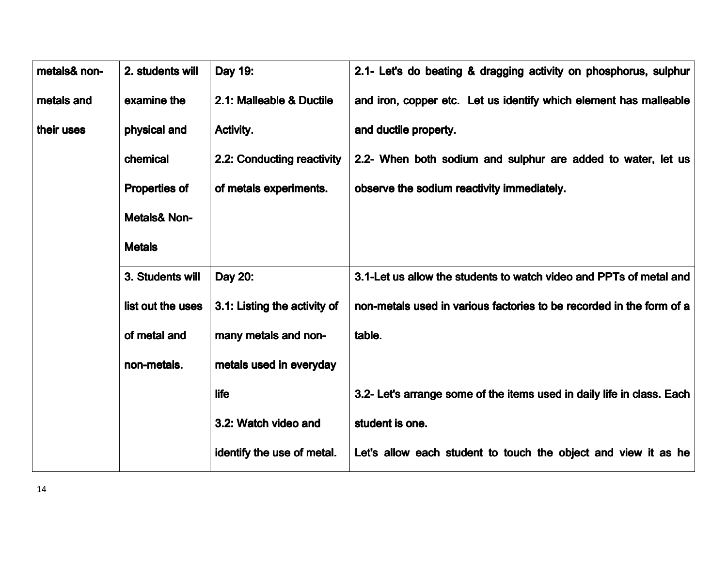| metals& non- | 2. students will        | Day 19:                      | 2.1- Let's do beating & dragging activity on phosphorus, sulphur       |
|--------------|-------------------------|------------------------------|------------------------------------------------------------------------|
| metals and   | examine the             | 2.1: Malleable & Ductile     | and iron, copper etc. Let us identify which element has malleable      |
| their uses   | physical and            | Activity.                    | and ductile property.                                                  |
|              | chemical                | 2.2: Conducting reactivity   | 2.2- When both sodium and sulphur are added to water, let us           |
|              | <b>Properties of</b>    | of metals experiments.       | observe the sodium reactivity immediately.                             |
|              | <b>Metals&amp; Non-</b> |                              |                                                                        |
|              | <b>Metals</b>           |                              |                                                                        |
|              | 3. Students will        | Day 20:                      | 3.1-Let us allow the students to watch video and PPTs of metal and     |
|              | list out the uses       | 3.1: Listing the activity of | non-metals used in various factories to be recorded in the form of a   |
|              | of metal and            | many metals and non-         | table.                                                                 |
|              | non-metals.             | metals used in everyday      |                                                                        |
|              |                         | <b>life</b>                  | 3.2- Let's arrange some of the items used in daily life in class. Each |
|              |                         | 3.2: Watch video and         | student is one.                                                        |
|              |                         | identify the use of metal.   | Let's allow each student to touch the object and view it as he         |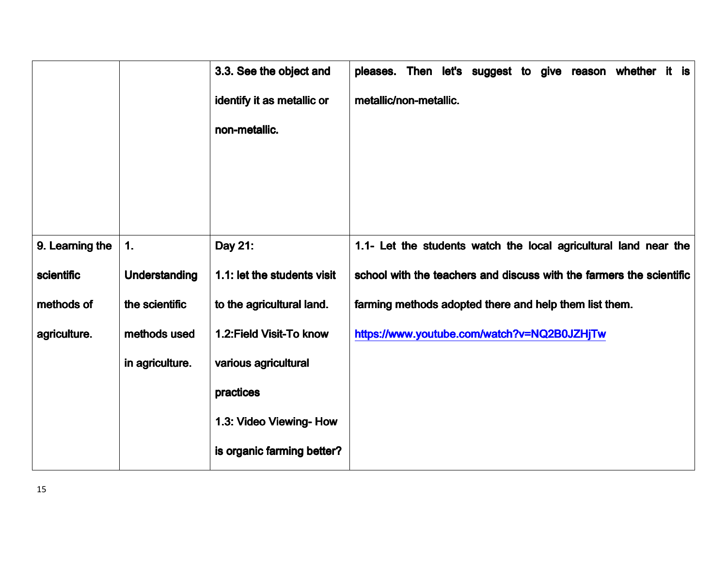|                 |                 | 3.3. See the object and     | pleases. Then let's suggest to give reason whether it is             |
|-----------------|-----------------|-----------------------------|----------------------------------------------------------------------|
|                 |                 | identify it as metallic or  | metallic/non-metallic.                                               |
|                 |                 | non-metallic.               |                                                                      |
|                 |                 |                             |                                                                      |
|                 |                 |                             |                                                                      |
|                 |                 |                             |                                                                      |
| 9. Learning the | 1.              | Day 21:                     | 1.1- Let the students watch the local agricultural land near the     |
| scientific      | Understanding   | 1.1: let the students visit | school with the teachers and discuss with the farmers the scientific |
| methods of      | the scientific  | to the agricultural land.   | farming methods adopted there and help them list them.               |
| agriculture.    | methods used    | 1.2: Field Visit-To know    | https://www.youtube.com/watch?v=NQ2B0JZHjTw                          |
|                 | in agriculture. | various agricultural        |                                                                      |
|                 |                 | practices                   |                                                                      |
|                 |                 | 1.3: Video Viewing- How     |                                                                      |
|                 |                 | is organic farming better?  |                                                                      |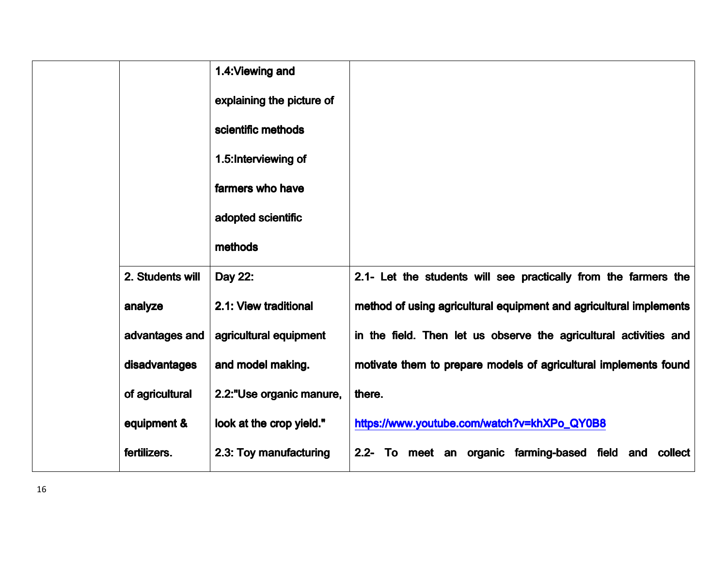|                  | 1.4: Viewing and          |                                                                    |
|------------------|---------------------------|--------------------------------------------------------------------|
|                  | explaining the picture of |                                                                    |
|                  | scientific methods        |                                                                    |
|                  | 1.5: Interviewing of      |                                                                    |
|                  | farmers who have          |                                                                    |
|                  | adopted scientific        |                                                                    |
|                  | methods                   |                                                                    |
| 2. Students will | Day 22:                   | 2.1- Let the students will see practically from the farmers the    |
| analyze          | 2.1: View traditional     | method of using agricultural equipment and agricultural implements |
| advantages and   | agricultural equipment    | in the field. Then let us observe the agricultural activities and  |
| disadvantages    | and model making.         | motivate them to prepare models of agricultural implements found   |
| of agricultural  | 2.2:"Use organic manure,  | there.                                                             |
| equipment &      | look at the crop yield."  | https://www.youtube.com/watch?v=khXPo_QY0B8                        |
| fertilizers.     | 2.3: Toy manufacturing    | 2.2- To meet an organic farming-based field and<br>collect         |
|                  |                           |                                                                    |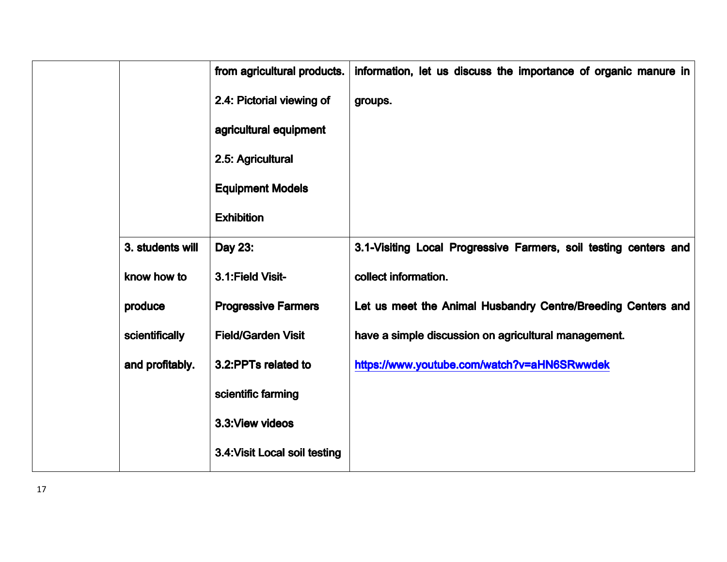|                  | from agricultural products.   | information, let us discuss the importance of organic manure in  |
|------------------|-------------------------------|------------------------------------------------------------------|
|                  | 2.4: Pictorial viewing of     | groups.                                                          |
|                  | agricultural equipment        |                                                                  |
|                  | 2.5: Agricultural             |                                                                  |
|                  | <b>Equipment Models</b>       |                                                                  |
|                  | <b>Exhibition</b>             |                                                                  |
| 3. students will | Day 23:                       | 3.1-Visiting Local Progressive Farmers, soil testing centers and |
| know how to      | 3.1: Field Visit-             | collect information.                                             |
| produce          | <b>Progressive Farmers</b>    | Let us meet the Animal Husbandry Centre/Breeding Centers and     |
| scientifically   | <b>Field/Garden Visit</b>     | have a simple discussion on agricultural management.             |
| and profitably.  | 3.2: PPTs related to          | https://www.youtube.com/watch?v=aHN6SRwwdek                      |
|                  | scientific farming            |                                                                  |
|                  | 3.3: View videos              |                                                                  |
|                  | 3.4: Visit Local soil testing |                                                                  |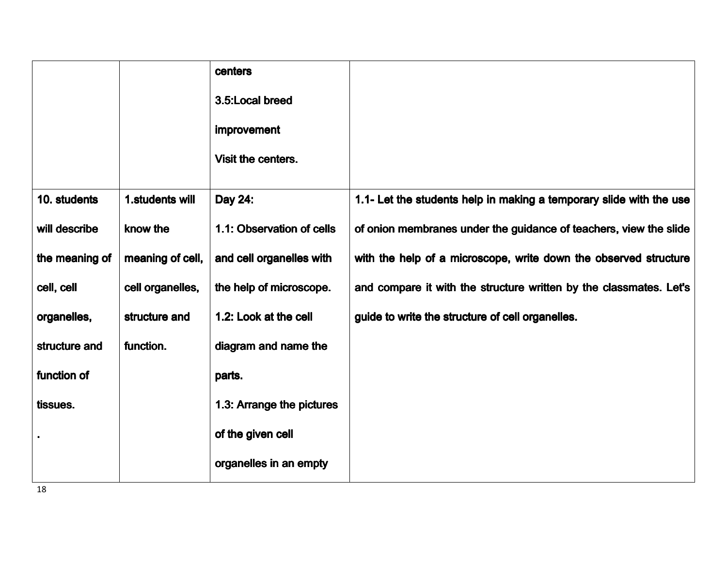|                |                  | centers                   |                                                                     |
|----------------|------------------|---------------------------|---------------------------------------------------------------------|
|                |                  | 3.5:Local breed           |                                                                     |
|                |                  | <b>improvement</b>        |                                                                     |
|                |                  | Visit the centers.        |                                                                     |
| 10. students   | 1.students will  | Day 24:                   | 1.1- Let the students help in making a temporary slide with the use |
| will describe  | know the         | 1.1: Observation of cells | of onion membranes under the guidance of teachers, view the slide   |
| the meaning of | meaning of cell, | and cell organelles with  | with the help of a microscope, write down the observed structure    |
| cell, cell     | cell organelles, | the help of microscope.   | and compare it with the structure written by the classmates. Let's  |
| organelles,    | structure and    | 1.2: Look at the cell     | guide to write the structure of cell organelles.                    |
| structure and  | function.        | diagram and name the      |                                                                     |
| function of    |                  | parts.                    |                                                                     |
| tissues.       |                  | 1.3: Arrange the pictures |                                                                     |
|                |                  | of the given cell         |                                                                     |
|                |                  | organelles in an empty    |                                                                     |

18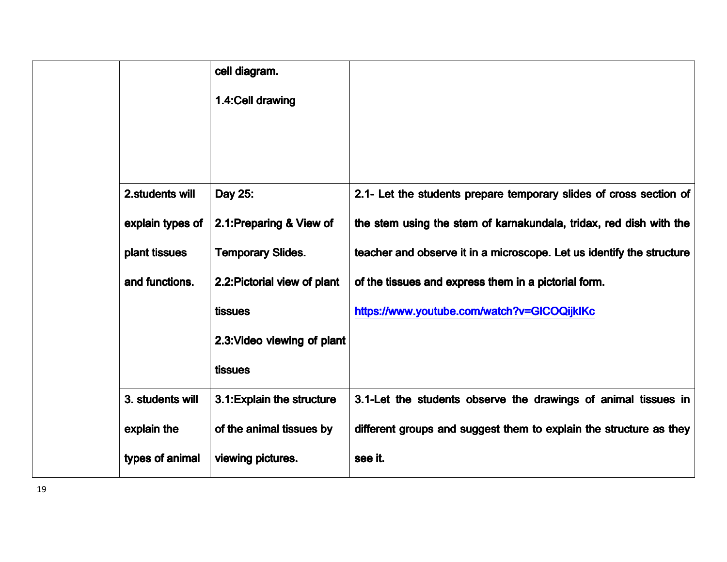|                  | cell diagram.                |                                                                       |
|------------------|------------------------------|-----------------------------------------------------------------------|
|                  | 1.4: Cell drawing            |                                                                       |
|                  |                              |                                                                       |
|                  |                              |                                                                       |
|                  |                              |                                                                       |
| 2. students will | Day 25:                      | 2.1- Let the students prepare temporary slides of cross section of    |
| explain types of | 2.1: Preparing & View of     | the stem using the stem of karnakundala, tridax, red dish with the    |
| plant tissues    | <b>Temporary Slides.</b>     | teacher and observe it in a microscope. Let us identify the structure |
| and functions.   | 2.2: Pictorial view of plant | of the tissues and express them in a pictorial form.                  |
|                  | tissues                      | https://www.youtube.com/watch?v=GICOQijkIKc                           |
|                  | 2.3: Video viewing of plant  |                                                                       |
|                  | tissues                      |                                                                       |
| 3. students will | 3.1: Explain the structure   | 3.1-Let the students observe the drawings of animal tissues in        |
| explain the      | of the animal tissues by     | different groups and suggest them to explain the structure as they    |
| types of animal  | viewing pictures.            | see it.                                                               |
|                  |                              |                                                                       |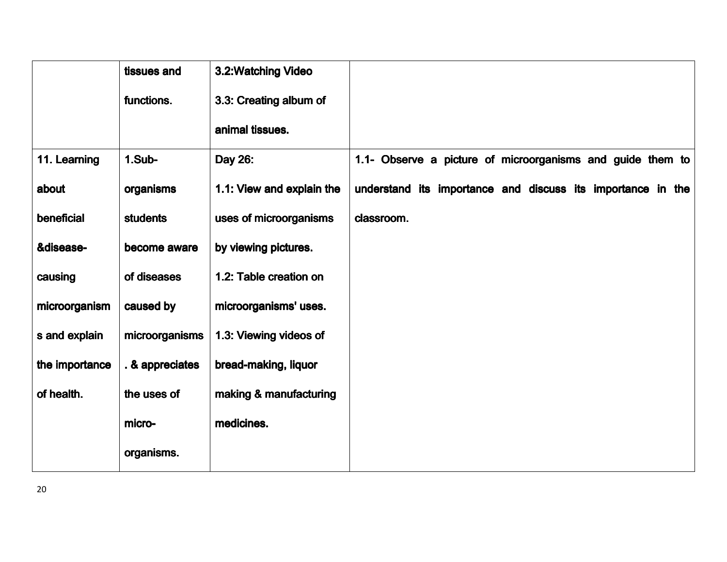|                | tissues and     | 3.2: Watching Video       |                                                             |
|----------------|-----------------|---------------------------|-------------------------------------------------------------|
|                | functions.      | 3.3: Creating album of    |                                                             |
|                |                 | animal tissues.           |                                                             |
| 11. Learning   | 1.Sub-          | Day 26:                   | 1.1- Observe a picture of microorganisms and guide them to  |
| about          | organisms       | 1.1: View and explain the | understand its importance and discuss its importance in the |
| beneficial     | <b>students</b> | uses of microorganisms    | classroom.                                                  |
| &disease-      | become aware    | by viewing pictures.      |                                                             |
| causing        | of diseases     | 1.2: Table creation on    |                                                             |
| microorganism  | caused by       | microorganisms' uses.     |                                                             |
| s and explain  | microorganisms  | 1.3: Viewing videos of    |                                                             |
| the importance | . & appreciates | bread-making, liquor      |                                                             |
| of health.     | the uses of     | making & manufacturing    |                                                             |
|                | micro-          | medicines.                |                                                             |
|                | organisms.      |                           |                                                             |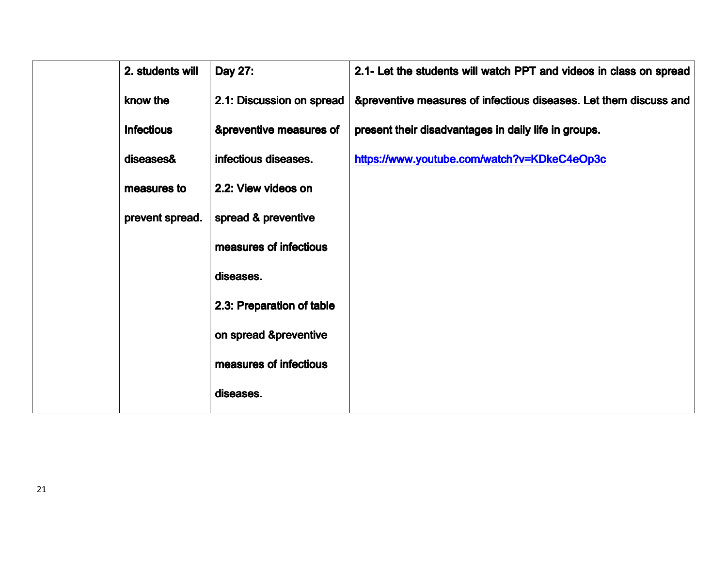| 2. students will  | Day 27:                   | 2.1- Let the students will watch PPT and videos in class on spread |
|-------------------|---------------------------|--------------------------------------------------------------------|
| know the          | 2.1: Discussion on spread | &preventive measures of infectious diseases. Let them discuss and  |
| <b>Infectious</b> | &preventive measures of   | present their disadvantages in daily life in groups.               |
| diseases&         | infectious diseases.      | https://www.youtube.com/watch?v=KDkeC4eOp3c                        |
| measures to       | 2.2: View videos on       |                                                                    |
| prevent spread.   | spread & preventive       |                                                                    |
|                   | measures of infectious    |                                                                    |
|                   | diseases.                 |                                                                    |
|                   | 2.3: Preparation of table |                                                                    |
|                   | on spread &preventive     |                                                                    |
|                   | measures of infectious    |                                                                    |
|                   | diseases.                 |                                                                    |
|                   |                           |                                                                    |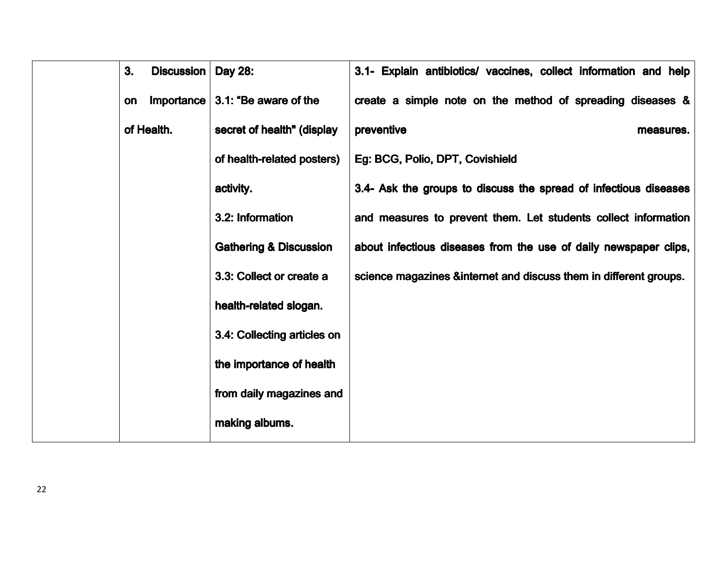| 3.<br>Discussion | <b>Day 28:</b>                    | 3.1- Explain antibiotics/ vaccines, collect information and help  |
|------------------|-----------------------------------|-------------------------------------------------------------------|
| Importance<br>on | 3.1: "Be aware of the             | create a simple note on the method of spreading diseases &        |
| of Health.       | secret of health" (display        | preventive<br>measures.                                           |
|                  | of health-related posters)        | Eg: BCG, Polio, DPT, Covishield                                   |
|                  | activity.                         | 3.4- Ask the groups to discuss the spread of infectious diseases  |
|                  | 3.2: Information                  | and measures to prevent them. Let students collect information    |
|                  | <b>Gathering &amp; Discussion</b> | about infectious diseases from the use of daily newspaper clips,  |
|                  | 3.3: Collect or create a          | science magazines &internet and discuss them in different groups. |
|                  | health-related slogan.            |                                                                   |
|                  | 3.4: Collecting articles on       |                                                                   |
|                  | the importance of health          |                                                                   |
|                  | from daily magazines and          |                                                                   |
|                  | making albums.                    |                                                                   |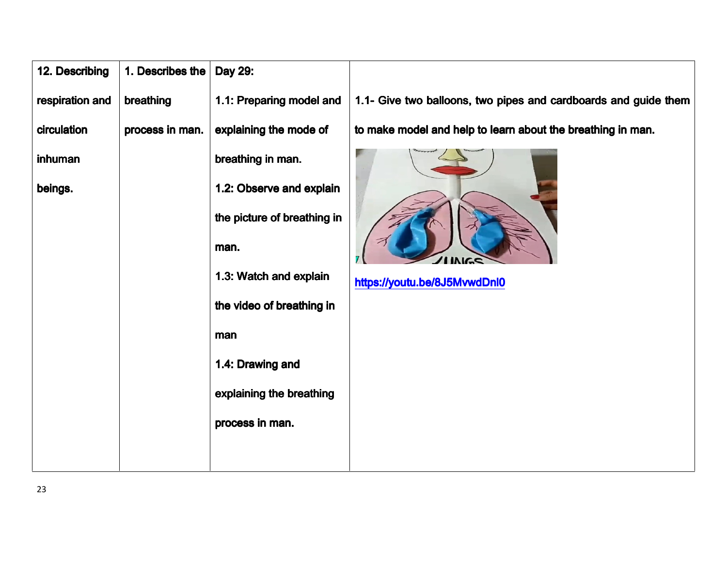| 12. Describing  | 1. Describes the | Day 29:                     |                                                                 |
|-----------------|------------------|-----------------------------|-----------------------------------------------------------------|
| respiration and | breathing        | 1.1: Preparing model and    | 1.1- Give two balloons, two pipes and cardboards and guide them |
| circulation     | process in man.  | explaining the mode of      | to make model and help to learn about the breathing in man.     |
| inhuman         |                  | breathing in man.           |                                                                 |
| beings.         |                  | 1.2: Observe and explain    |                                                                 |
|                 |                  | the picture of breathing in |                                                                 |
|                 |                  | man.                        | <b>SAINING</b>                                                  |
|                 |                  | 1.3: Watch and explain      | https://youtu.be/8J5MvwdDnl0                                    |
|                 |                  | the video of breathing in   |                                                                 |
|                 |                  | man                         |                                                                 |
|                 |                  | 1.4: Drawing and            |                                                                 |
|                 |                  | explaining the breathing    |                                                                 |
|                 |                  | process in man.             |                                                                 |
|                 |                  |                             |                                                                 |